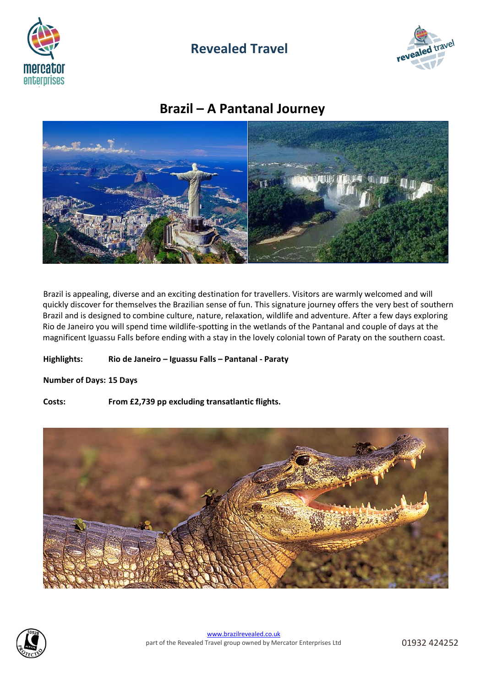

## **Revealed Travel**



# **Brazil – A Pantanal Journey**



Brazil is appealing, diverse and an exciting destination for travellers. Visitors are warmly welcomed and will quickly discover for themselves the Brazilian sense of fun. This signature journey offers the very best of southern Brazil and is designed to combine culture, nature, relaxation, wildlife and adventure. After a few days exploring Rio de Janeiro you will spend time wildlife-spotting in the wetlands of the Pantanal and couple of days at the magnificent Iguassu Falls before ending with a stay in the lovely colonial town of Paraty on the southern coast.

**Highlights: Rio de Janeiro – Iguassu Falls – Pantanal - Paraty**

**Number of Days: 15 Days**

**Costs: From £2,739 pp excluding transatlantic flights.**



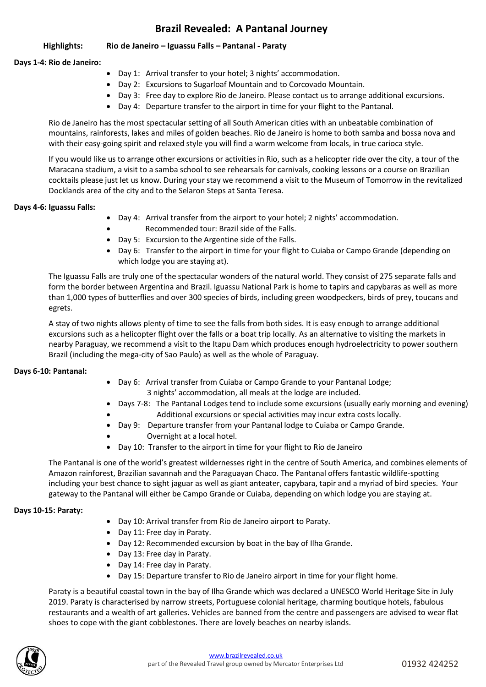## **Brazil Revealed: A Pantanal Journey**

**Highlights: Rio de Janeiro – Iguassu Falls – Pantanal - Paraty**

## **Days 1-4: Rio de Janeiro:**

- Day 1: Arrival transfer to your hotel; 3 nights' accommodation.
- Day 2: Excursions to Sugarloaf Mountain and to Corcovado Mountain.
- Day 3: Free day to explore Rio de Janeiro. Please contact us to arrange additional excursions.
- Day 4: Departure transfer to the airport in time for your flight to the Pantanal.

Rio de Janeiro has the most spectacular setting of all South American cities with an unbeatable combination of mountains, rainforests, lakes and miles of golden beaches. Rio de Janeiro is home to both samba and bossa nova and with their easy-going spirit and relaxed style you will find a warm welcome from locals, in true carioca style.

If you would like us to arrange other excursions or activities in Rio, such as a helicopter ride over the city, a tour of the Maracana stadium, a visit to a samba school to see rehearsals for carnivals, cooking lessons or a course on Brazilian cocktails please just let us know. During your stay we recommend a visit to the Museum of Tomorrow in the revitalized Docklands area of the city and to the Selaron Steps at Santa Teresa.

## **Days 4-6: Iguassu Falls:**

- Day 4: Arrival transfer from the airport to your hotel; 2 nights' accommodation.
	- Recommended tour: Brazil side of the Falls.
- Day 5: Excursion to the Argentine side of the Falls.
- Day 6: Transfer to the airport in time for your flight to Cuiaba or Campo Grande (depending on which lodge you are staying at).

The Iguassu Falls are truly one of the spectacular wonders of the natural world. They consist of 275 separate falls and form the border between Argentina and Brazil. Iguassu National Park is home to tapirs and capybaras as well as more than 1,000 types of butterflies and over 300 species of birds, including green woodpeckers, birds of prey, toucans and egrets.

A stay of two nights allows plenty of time to see the falls from both sides. It is easy enough to arrange additional excursions such as a helicopter flight over the falls or a boat trip locally. As an alternative to visiting the markets in nearby Paraguay, we recommend a visit to the Itapu Dam which produces enough hydroelectricity to power southern Brazil (including the mega-city of Sao Paulo) as well as the whole of Paraguay.

## **Days 6-10: Pantanal:**

- Day 6: Arrival transfer from Cuiaba or Campo Grande to your Pantanal Lodge; 3 nights' accommodation, all meals at the lodge are included.
- Days 7-8: The Pantanal Lodges tend to include some excursions (usually early morning and evening) • Additional excursions or special activities may incur extra costs locally.
	- Day 9: Departure transfer from your Pantanal lodge to Cuiaba or Campo Grande.
	- Overnight at a local hotel.
- Day 10: Transfer to the airport in time for your flight to Rio de Janeiro

The Pantanal is one of the world's greatest wildernesses right in the centre of South America, and combines elements of Amazon rainforest, Brazilian savannah and the Paraguayan Chaco. The Pantanal offers fantastic wildlife-spotting including your best chance to sight jaguar as well as giant anteater, capybara, tapir and a myriad of bird species. Your gateway to the Pantanal will either be Campo Grande or Cuiaba, depending on which lodge you are staying at.

## **Days 10-15: Paraty:**

- Day 10: Arrival transfer from Rio de Janeiro airport to Paraty.
- Day 11: Free day in Paraty.
- Day 12: Recommended excursion by boat in the bay of Ilha Grande.
- Day 13: Free day in Paraty.
- Day 14: Free day in Paraty.
- Day 15: Departure transfer to Rio de Janeiro airport in time for your flight home.

Paraty is a beautiful coastal town in the bay of Ilha Grande which was declared a UNESCO World Heritage Site in July 2019. Paraty is characterised by narrow streets, Portuguese colonial heritage, charming boutique hotels, fabulous restaurants and a wealth of art galleries. Vehicles are banned from the centre and passengers are advised to wear flat shoes to cope with the giant cobblestones. There are lovely beaches on nearby islands.